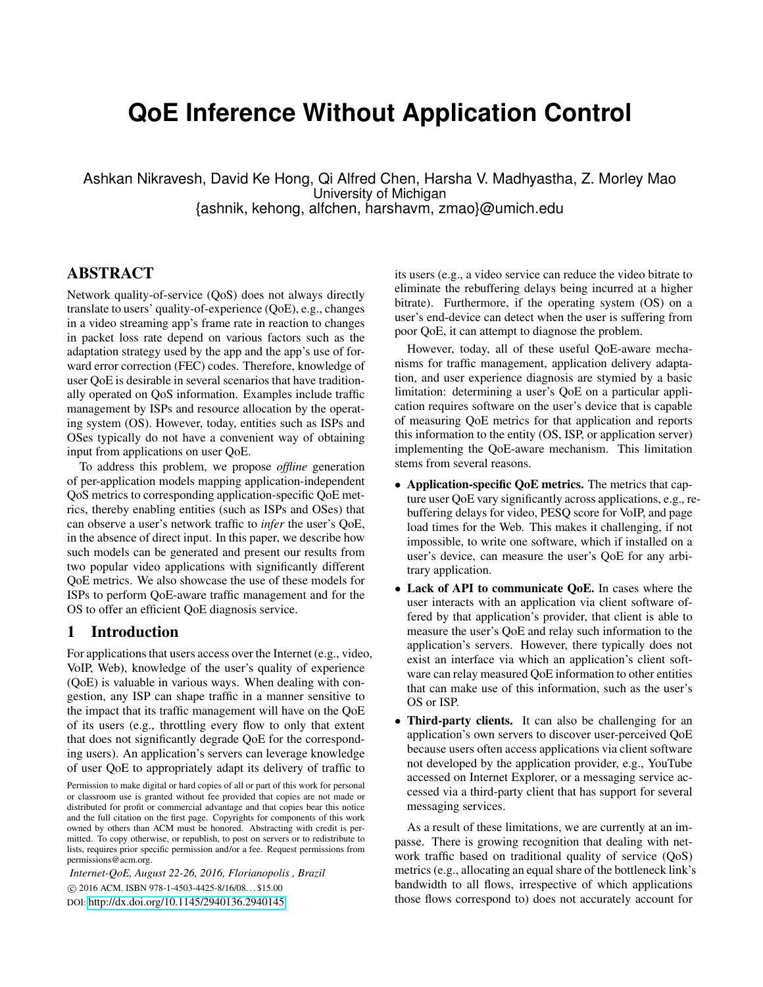# <span id="page-0-0"></span>**QoE Inference Without Application Control**

Ashkan Nikravesh, David Ke Hong, Qi Alfred Chen, Harsha V. Madhyastha, Z. Morley Mao University of Michigan {ashnik, kehong, alfchen, harshavm, zmao}@umich.edu

# ABSTRACT

Network quality-of-service (QoS) does not always directly translate to users' quality-of-experience (QoE), e.g., changes in a video streaming app's frame rate in reaction to changes in packet loss rate depend on various factors such as the adaptation strategy used by the app and the app's use of forward error correction (FEC) codes. Therefore, knowledge of user QoE is desirable in several scenarios that have traditionally operated on QoS information. Examples include traffic management by ISPs and resource allocation by the operating system (OS). However, today, entities such as ISPs and OSes typically do not have a convenient way of obtaining input from applications on user QoE.

To address this problem, we propose *offline* generation of per-application models mapping application-independent QoS metrics to corresponding application-specific QoE metrics, thereby enabling entities (such as ISPs and OSes) that can observe a user's network traffic to *infer* the user's QoE, in the absence of direct input. In this paper, we describe how such models can be generated and present our results from two popular video applications with significantly different QoE metrics. We also showcase the use of these models for ISPs to perform QoE-aware traffic management and for the OS to offer an efficient QoE diagnosis service.

# 1 Introduction

For applications that users access over the Internet (e.g., video, VoIP, Web), knowledge of the user's quality of experience (QoE) is valuable in various ways. When dealing with congestion, any ISP can shape traffic in a manner sensitive to the impact that its traffic management will have on the QoE of its users (e.g., throttling every flow to only that extent that does not significantly degrade QoE for the corresponding users). An application's servers can leverage knowledge of user QoE to appropriately adapt its delivery of traffic to

*Internet-QoE, August 22-26, 2016, Florianopolis , Brazil*

 c 2016 ACM. ISBN 978-1-4503-4425-8/16/08. . . \$15.00 DOI: <http://dx.doi.org/10.1145/2940136.2940145> its users (e.g., a video service can reduce the video bitrate to eliminate the rebuffering delays being incurred at a higher bitrate). Furthermore, if the operating system (OS) on a user's end-device can detect when the user is suffering from poor QoE, it can attempt to diagnose the problem.

However, today, all of these useful QoE-aware mechanisms for traffic management, application delivery adaptation, and user experience diagnosis are stymied by a basic limitation: determining a user's QoE on a particular application requires software on the user's device that is capable of measuring QoE metrics for that application and reports this information to the entity (OS, ISP, or application server) implementing the QoE-aware mechanism. This limitation stems from several reasons.

- Application-specific QoE metrics. The metrics that capture user QoE vary significantly across applications, e.g., rebuffering delays for video, PESQ score for VoIP, and page load times for the Web. This makes it challenging, if not impossible, to write one software, which if installed on a user's device, can measure the user's QoE for any arbitrary application.
- Lack of API to communicate QoE. In cases where the user interacts with an application via client software offered by that application's provider, that client is able to measure the user's QoE and relay such information to the application's servers. However, there typically does not exist an interface via which an application's client software can relay measured QoE information to other entities that can make use of this information, such as the user's OS or ISP.
- Third-party clients. It can also be challenging for an application's own servers to discover user-perceived QoE because users often access applications via client software not developed by the application provider, e.g., YouTube accessed on Internet Explorer, or a messaging service accessed via a third-party client that has support for several messaging services.

As a result of these limitations, we are currently at an impasse. There is growing recognition that dealing with network traffic based on traditional quality of service (QoS) metrics (e.g., allocating an equal share of the bottleneck link's bandwidth to all flows, irrespective of which applications those flows correspond to) does not accurately account for

Permission to make digital or hard copies of all or part of this work for personal or classroom use is granted without fee provided that copies are not made or distributed for profit or commercial advantage and that copies bear this notice and the full citation on the first page. Copyrights for components of this work owned by others than ACM must be honored. Abstracting with credit is permitted. To copy otherwise, or republish, to post on servers or to redistribute to lists, requires prior specific permission and/or a fee. Request permissions from permissions@acm.org.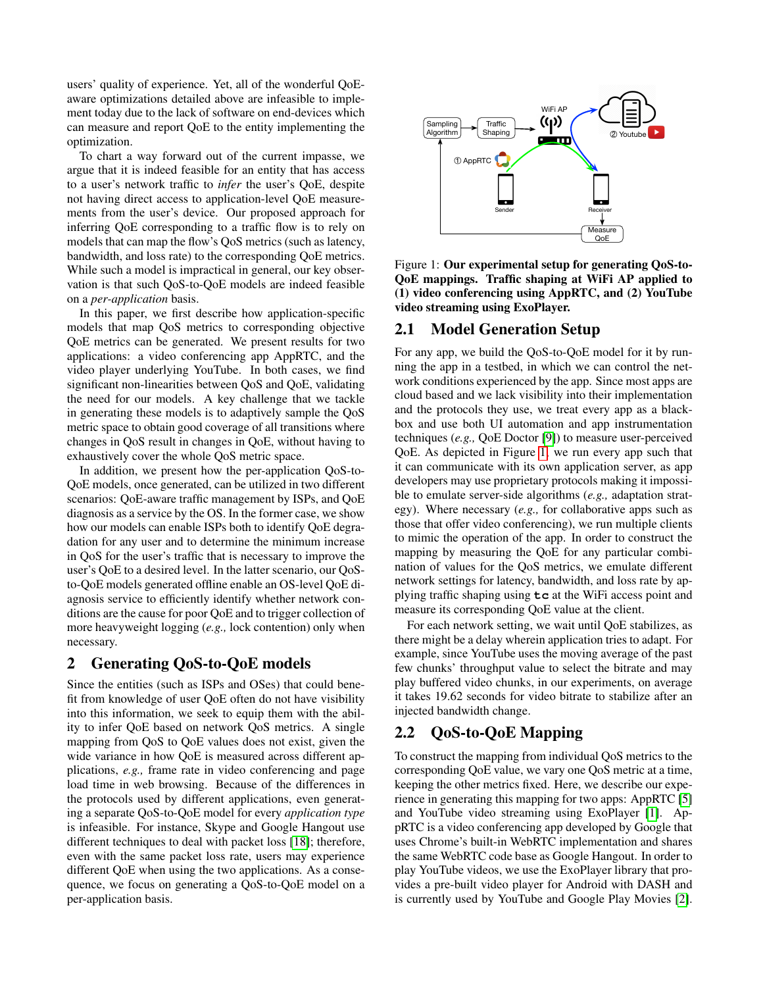users' quality of experience. Yet, all of the wonderful QoEaware optimizations detailed above are infeasible to implement today due to the lack of software on end-devices which can measure and report QoE to the entity implementing the optimization.

To chart a way forward out of the current impasse, we argue that it is indeed feasible for an entity that has access to a user's network traffic to *infer* the user's QoE, despite not having direct access to application-level QoE measurements from the user's device. Our proposed approach for inferring QoE corresponding to a traffic flow is to rely on models that can map the flow's QoS metrics (such as latency, bandwidth, and loss rate) to the corresponding QoE metrics. While such a model is impractical in general, our key observation is that such QoS-to-QoE models are indeed feasible on a *per-application* basis.

In this paper, we first describe how application-specific models that map QoS metrics to corresponding objective QoE metrics can be generated. We present results for two applications: a video conferencing app AppRTC, and the video player underlying YouTube. In both cases, we find significant non-linearities between QoS and QoE, validating the need for our models. A key challenge that we tackle in generating these models is to adaptively sample the QoS metric space to obtain good coverage of all transitions where changes in QoS result in changes in QoE, without having to exhaustively cover the whole QoS metric space.

In addition, we present how the per-application QoS-to-QoE models, once generated, can be utilized in two different scenarios: QoE-aware traffic management by ISPs, and QoE diagnosis as a service by the OS. In the former case, we show how our models can enable ISPs both to identify QoE degradation for any user and to determine the minimum increase in QoS for the user's traffic that is necessary to improve the user's QoE to a desired level. In the latter scenario, our QoSto-QoE models generated offline enable an OS-level QoE diagnosis service to efficiently identify whether network conditions are the cause for poor QoE and to trigger collection of more heavyweight logging (*e.g.,* lock contention) only when necessary.

# 2 Generating QoS-to-QoE models

Since the entities (such as ISPs and OSes) that could benefit from knowledge of user QoE often do not have visibility into this information, we seek to equip them with the ability to infer QoE based on network QoS metrics. A single mapping from QoS to QoE values does not exist, given the wide variance in how OoE is measured across different applications, *e.g.,* frame rate in video conferencing and page load time in web browsing. Because of the differences in the protocols used by different applications, even generating a separate QoS-to-QoE model for every *application type* is infeasible. For instance, Skype and Google Hangout use different techniques to deal with packet loss [\[18\]](#page-5-0); therefore, even with the same packet loss rate, users may experience different QoE when using the two applications. As a consequence, we focus on generating a QoS-to-QoE model on a per-application basis.

<span id="page-1-0"></span>

Figure 1: Our experimental setup for generating QoS-to-QoE mappings. Traffic shaping at WiFi AP applied to (1) video conferencing using AppRTC, and (2) YouTube video streaming using ExoPlayer.

# 2.1 Model Generation Setup

For any app, we build the QoS-to-QoE model for it by running the app in a testbed, in which we can control the network conditions experienced by the app. Since most apps are cloud based and we lack visibility into their implementation and the protocols they use, we treat every app as a blackbox and use both UI automation and app instrumentation techniques (*e.g.,* QoE Doctor [\[9\]](#page-5-1)) to measure user-perceived QoE. As depicted in Figure [1,](#page-1-0) we run every app such that it can communicate with its own application server, as app developers may use proprietary protocols making it impossible to emulate server-side algorithms (*e.g.,* adaptation strategy). Where necessary (*e.g.,* for collaborative apps such as those that offer video conferencing), we run multiple clients to mimic the operation of the app. In order to construct the mapping by measuring the QoE for any particular combination of values for the QoS metrics, we emulate different network settings for latency, bandwidth, and loss rate by applying traffic shaping using **tc** at the WiFi access point and measure its corresponding QoE value at the client.

For each network setting, we wait until QoE stabilizes, as there might be a delay wherein application tries to adapt. For example, since YouTube uses the moving average of the past few chunks' throughput value to select the bitrate and may play buffered video chunks, in our experiments, on average it takes 19.62 seconds for video bitrate to stabilize after an injected bandwidth change.

# 2.2 QoS-to-QoE Mapping

To construct the mapping from individual QoS metrics to the corresponding QoE value, we vary one QoS metric at a time, keeping the other metrics fixed. Here, we describe our experience in generating this mapping for two apps: AppRTC [\[5\]](#page-5-2) and YouTube video streaming using ExoPlayer [\[1\]](#page-5-3). AppRTC is a video conferencing app developed by Google that uses Chrome's built-in WebRTC implementation and shares the same WebRTC code base as Google Hangout. In order to play YouTube videos, we use the ExoPlayer library that provides a pre-built video player for Android with DASH and is currently used by YouTube and Google Play Movies [\[2\]](#page-5-4).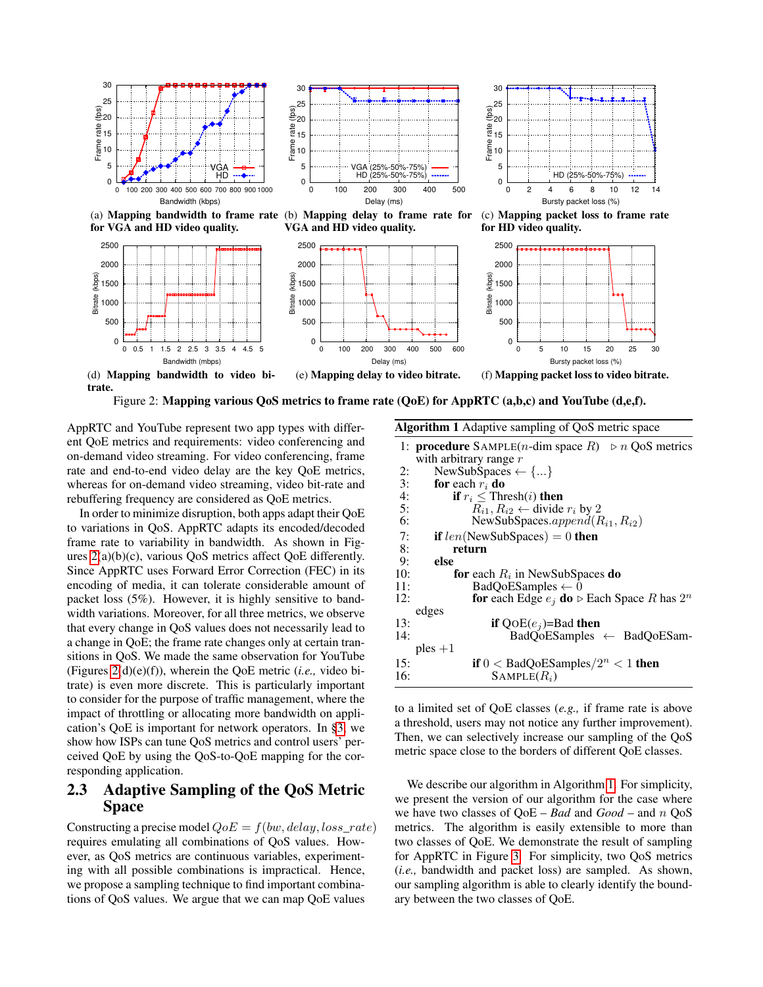<span id="page-2-0"></span>

Figure 2: Mapping various OoS metrics to frame rate (OoE) for AppRTC (a,b,c) and YouTube (d,e,f).

AppRTC and YouTube represent two app types with different QoE metrics and requirements: video conferencing and on-demand video streaming. For video conferencing, frame rate and end-to-end video delay are the key QoE metrics, whereas for on-demand video streaming, video bit-rate and rebuffering frequency are considered as QoE metrics.

In order to minimize disruption, both apps adapt their QoE to variations in QoS. AppRTC adapts its encoded/decoded frame rate to variability in bandwidth. As shown in Figures [2\(](#page-2-0)a)(b)(c), various QoS metrics affect QoE differently. Since AppRTC uses Forward Error Correction (FEC) in its encoding of media, it can tolerate considerable amount of packet loss (5%). However, it is highly sensitive to bandwidth variations. Moreover, for all three metrics, we observe that every change in QoS values does not necessarily lead to a change in QoE; the frame rate changes only at certain transitions in QoS. We made the same observation for YouTube (Figures [2\(](#page-2-0)d)(e)(f)), wherein the QoE metric (*i.e.,* video bitrate) is even more discrete. This is particularly important to consider for the purpose of traffic management, where the impact of throttling or allocating more bandwidth on application's QoE is important for network operators. In [§3,](#page-2-1) we show how ISPs can tune QoS metrics and control users' perceived QoE by using the QoS-to-QoE mapping for the corresponding application.

# 2.3 Adaptive Sampling of the QoS Metric Space

Constructing a precise model  $QoE = f(bw, delay, loss\_rate)$ requires emulating all combinations of QoS values. However, as QoS metrics are continuous variables, experimenting with all possible combinations is impractical. Hence, we propose a sampling technique to find important combinations of QoS values. We argue that we can map QoE values

<span id="page-2-2"></span>Algorithm 1 Adaptive sampling of QoS metric space

|     | 1: <b>procedure</b> SAMPLE( <i>n</i> -dim space <i>R</i> ) $\triangleright$ <i>n</i> QoS metrics |
|-----|--------------------------------------------------------------------------------------------------|
|     | with arbitrary range r                                                                           |
| 2:  | NewSubSpaces $\leftarrow \{\}$                                                                   |
| 3:  | for each $r_i$ do                                                                                |
| 4:  | <b>if</b> $r_i$ < Thresh( <i>i</i> ) then                                                        |
| 5:  | $R_{i1}, R_{i2} \leftarrow$ divide $r_i$ by 2                                                    |
| 6:  | NewSubSpaces.append $(R_{i1}, R_{i2})$                                                           |
| 7:  | <b>if</b> $len(\text{NewSubSpaces}) = 0$ then                                                    |
| 8:  | return                                                                                           |
| 9:  | else                                                                                             |
| 10: | for each $R_i$ in NewSubSpaces do                                                                |
| 11: | $BadQoESamples \leftarrow 0$                                                                     |
| 12: | for each Edge $e_i$ do $\triangleright$ Each Space R has $2^n$                                   |
|     | edges                                                                                            |
| 13: | if $QOE(e_i)$ =Bad then                                                                          |
| 14: | $BadQoESamples \leftarrow BadQoESam-$                                                            |
|     | $p$ les $+1$                                                                                     |
| 15: | <b>if</b> $0 <$ BadQoESamples/ $2n < 1$ then                                                     |
| 16: | $SAMPLE(R_i)$                                                                                    |

to a limited set of QoE classes (*e.g.,* if frame rate is above a threshold, users may not notice any further improvement). Then, we can selectively increase our sampling of the QoS metric space close to the borders of different QoE classes.

<span id="page-2-1"></span>We describe our algorithm in Algorithm [1.](#page-2-2) For simplicity, we present the version of our algorithm for the case where we have two classes of QoE – *Bad* and *Good* – and n QoS metrics. The algorithm is easily extensible to more than two classes of QoE. We demonstrate the result of sampling for AppRTC in Figure [3.](#page-3-0) For simplicity, two QoS metrics (*i.e.,* bandwidth and packet loss) are sampled. As shown, our sampling algorithm is able to clearly identify the boundary between the two classes of QoE.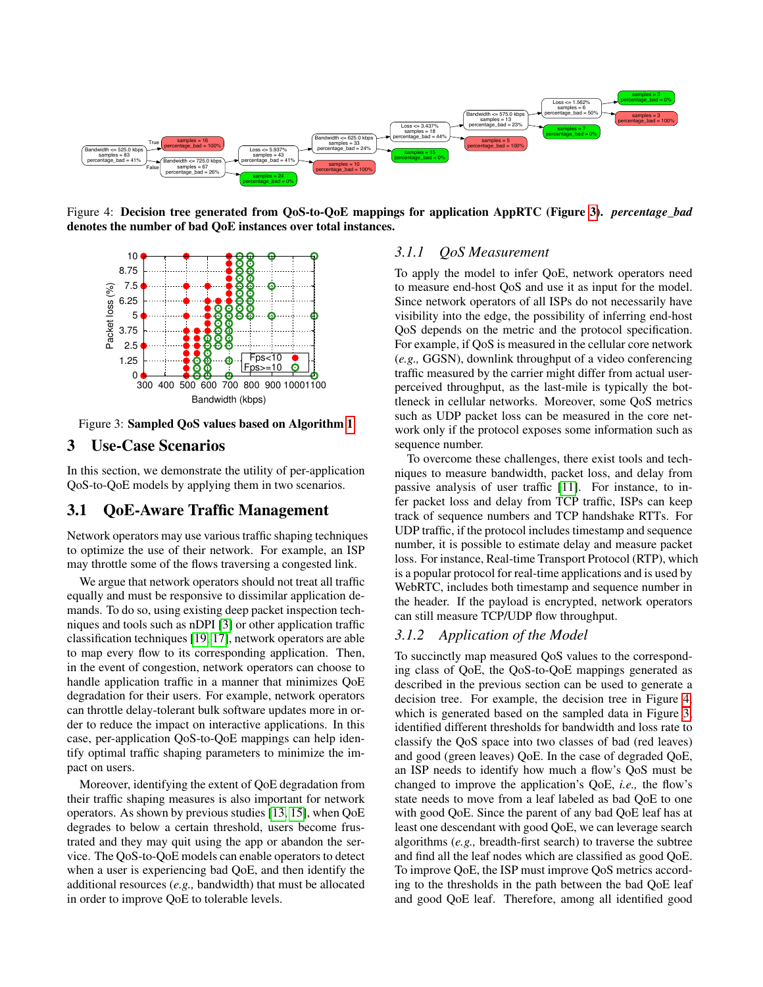<span id="page-3-1"></span>

Figure 4: Decision tree generated from QoS-to-QoE mappings for application AppRTC (Figure 3). *percentage\_bad* denotes the number of bad QoE instances over total instances.

<span id="page-3-0"></span>

Figure 3: Sampled QoS values based on Algorithm 1

#### 3 **Use-Case Scenarios**

In this section, we demonstrate the utility of per-application QoS-to-QoE models by applying them in two scenarios.

#### **QoE-Aware Traffic Management 3.1**

Network operators may use various traffic shaping techniques to optimize the use of their network. For example, an ISP may throttle some of the flows traversing a congested link.

We argue that network operators should not treat all traffic equally and must be responsive to dissimilar application demands. To do so, using existing deep packet inspection techniques and tools such as nDPI [3] or other application traffic classification techniques [19, 17], network operators are able to map every flow to its corresponding application. Then, in the event of congestion, network operators can choose to handle application traffic in a manner that minimizes QoE degradation for their users. For example, network operators can throttle delay-tolerant bulk software updates more in order to reduce the impact on interactive applications. In this case, per-application QoS-to-QoE mappings can help identify optimal traffic shaping parameters to minimize the impact on users.

Moreover, identifying the extent of QoE degradation from their traffic shaping measures is also important for network operators. As shown by previous studies [13, 15], when QoE degrades to below a certain threshold, users become frustrated and they may quit using the app or abandon the service. The QoS-to-QoE models can enable operators to detect when a user is experiencing bad QoE, and then identify the additional resources (e.g., bandwidth) that must be allocated in order to improve QoE to tolerable levels.

#### **OoS** Measurement  $3.1.1$

To apply the model to infer OoE, network operators need to measure end-host QoS and use it as input for the model. Since network operators of all ISPs do not necessarily have visibility into the edge, the possibility of inferring end-host QoS depends on the metric and the protocol specification. For example, if QoS is measured in the cellular core network  $(e.g., GGSN)$ , downlink throughput of a video conferencing traffic measured by the carrier might differ from actual userperceived throughput, as the last-mile is typically the bottleneck in cellular networks. Moreover, some QoS metrics such as UDP packet loss can be measured in the core network only if the protocol exposes some information such as sequence number.

To overcome these challenges, there exist tools and techniques to measure bandwidth, packet loss, and delay from passive analysis of user traffic [11]. For instance, to infer packet loss and delay from TCP traffic, ISPs can keep track of sequence numbers and TCP handshake RTTs. For UDP traffic, if the protocol includes timestamp and sequence number, it is possible to estimate delay and measure packet loss. For instance, Real-time Transport Protocol (RTP), which is a popular protocol for real-time applications and is used by WebRTC, includes both timestamp and sequence number in the header. If the payload is encrypted, network operators can still measure TCP/UDP flow throughput.

#### Application of the Model  $3.1.2$

To succinctly map measured QoS values to the corresponding class of QoE, the QoS-to-QoE mappings generated as described in the previous section can be used to generate a decision tree. For example, the decision tree in Figure 4, which is generated based on the sampled data in Figure 3, identified different thresholds for bandwidth and loss rate to classify the QoS space into two classes of bad (red leaves) and good (green leaves) OoE. In the case of degraded OoE, an ISP needs to identify how much a flow's QoS must be changed to improve the application's QoE, *i.e.*, the flow's state needs to move from a leaf labeled as bad QoE to one with good QoE. Since the parent of any bad QoE leaf has at least one descendant with good QoE, we can leverage search algorithms  $(e.g., breadth-first search)$  to traverse the subtree and find all the leaf nodes which are classified as good QoE. To improve QoE, the ISP must improve QoS metrics according to the thresholds in the path between the bad QoE leaf and good QoE leaf. Therefore, among all identified good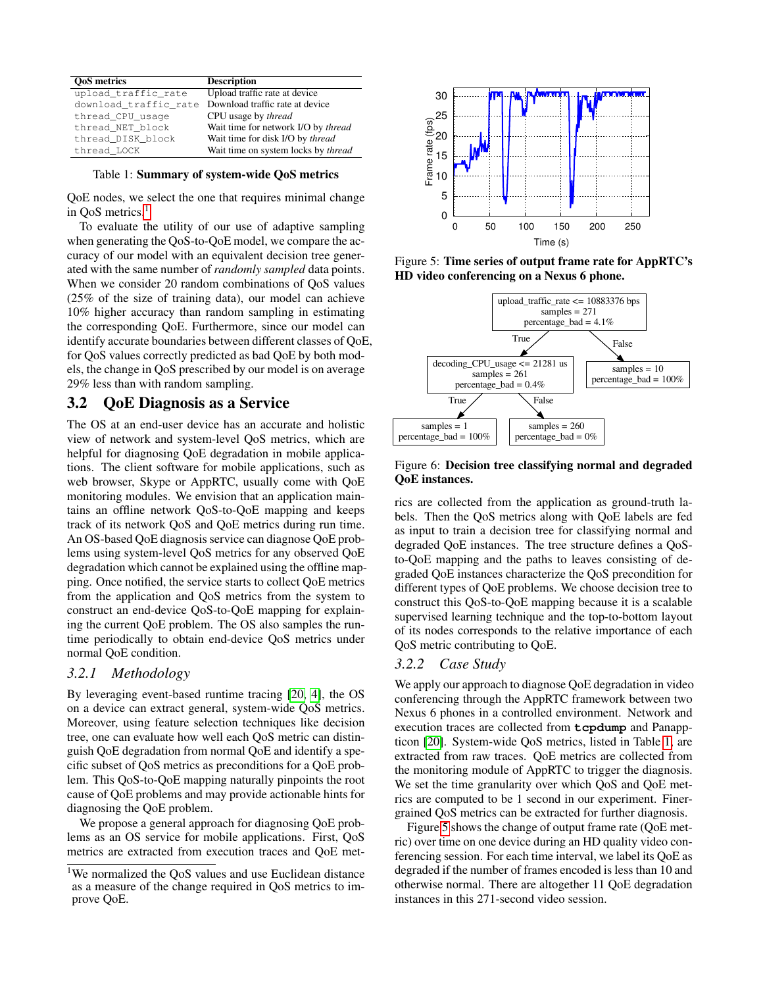<span id="page-4-0"></span>

| OoS metrics           | <b>Description</b>                  |
|-----------------------|-------------------------------------|
| upload_traffic_rate   | Upload traffic rate at device       |
| download traffic rate | Download traffic rate at device     |
| thread_CPU_usage      | CPU usage by <i>thread</i>          |
| thread NET block      | Wait time for network I/O by thread |
| thread DISK block     | Wait time for disk I/O by thread    |
| thread LOCK           | Wait time on system locks by thread |

Table 1: Summary of system-wide QoS metrics

QoE nodes, we select the one that requires minimal change in QoS metrics.<sup>[1](#page-0-0)</sup>

To evaluate the utility of our use of adaptive sampling when generating the QoS-to-QoE model, we compare the accuracy of our model with an equivalent decision tree generated with the same number of *randomly sampled* data points. When we consider 20 random combinations of QoS values (25% of the size of training data), our model can achieve 10% higher accuracy than random sampling in estimating the corresponding QoE. Furthermore, since our model can identify accurate boundaries between different classes of QoE, for QoS values correctly predicted as bad QoE by both models, the change in QoS prescribed by our model is on average 29% less than with random sampling.

# 3.2 QoE Diagnosis as a Service

The OS at an end-user device has an accurate and holistic view of network and system-level QoS metrics, which are helpful for diagnosing QoE degradation in mobile applications. The client software for mobile applications, such as web browser, Skype or AppRTC, usually come with QoE monitoring modules. We envision that an application maintains an offline network QoS-to-QoE mapping and keeps track of its network QoS and QoE metrics during run time. An OS-based QoE diagnosis service can diagnose QoE problems using system-level QoS metrics for any observed QoE degradation which cannot be explained using the offline mapping. Once notified, the service starts to collect QoE metrics from the application and QoS metrics from the system to construct an end-device QoS-to-QoE mapping for explaining the current QoE problem. The OS also samples the runtime periodically to obtain end-device QoS metrics under normal QoE condition.

### *3.2.1 Methodology*

By leveraging event-based runtime tracing [\[20,](#page-5-11) [4\]](#page-5-12), the OS on a device can extract general, system-wide QoS metrics. Moreover, using feature selection techniques like decision tree, one can evaluate how well each QoS metric can distinguish QoE degradation from normal QoE and identify a specific subset of QoS metrics as preconditions for a QoE problem. This QoS-to-QoE mapping naturally pinpoints the root cause of QoE problems and may provide actionable hints for diagnosing the QoE problem.

We propose a general approach for diagnosing QoE problems as an OS service for mobile applications. First, QoS metrics are extracted from execution traces and QoE met-

<span id="page-4-1"></span>

Figure 5: Time series of output frame rate for AppRTC's HD video conferencing on a Nexus 6 phone.

<span id="page-4-2"></span>

Figure 6: Decision tree classifying normal and degraded QoE instances.

rics are collected from the application as ground-truth labels. Then the QoS metrics along with QoE labels are fed as input to train a decision tree for classifying normal and degraded QoE instances. The tree structure defines a QoSto-QoE mapping and the paths to leaves consisting of degraded QoE instances characterize the QoS precondition for different types of QoE problems. We choose decision tree to construct this QoS-to-QoE mapping because it is a scalable supervised learning technique and the top-to-bottom layout of its nodes corresponds to the relative importance of each QoS metric contributing to QoE.

### *3.2.2 Case Study*

We apply our approach to diagnose QoE degradation in video conferencing through the AppRTC framework between two Nexus 6 phones in a controlled environment. Network and execution traces are collected from **tcpdump** and Panappticon [\[20\]](#page-5-11). System-wide QoS metrics, listed in Table [1,](#page-4-0) are extracted from raw traces. QoE metrics are collected from the monitoring module of AppRTC to trigger the diagnosis. We set the time granularity over which QoS and QoE metrics are computed to be 1 second in our experiment. Finergrained QoS metrics can be extracted for further diagnosis.

Figure [5](#page-4-1) shows the change of output frame rate (QoE metric) over time on one device during an HD quality video conferencing session. For each time interval, we label its QoE as degraded if the number of frames encoded is less than 10 and otherwise normal. There are altogether 11 QoE degradation instances in this 271-second video session.

<sup>&</sup>lt;sup>1</sup>We normalized the OoS values and use Euclidean distance as a measure of the change required in QoS metrics to improve QoE.